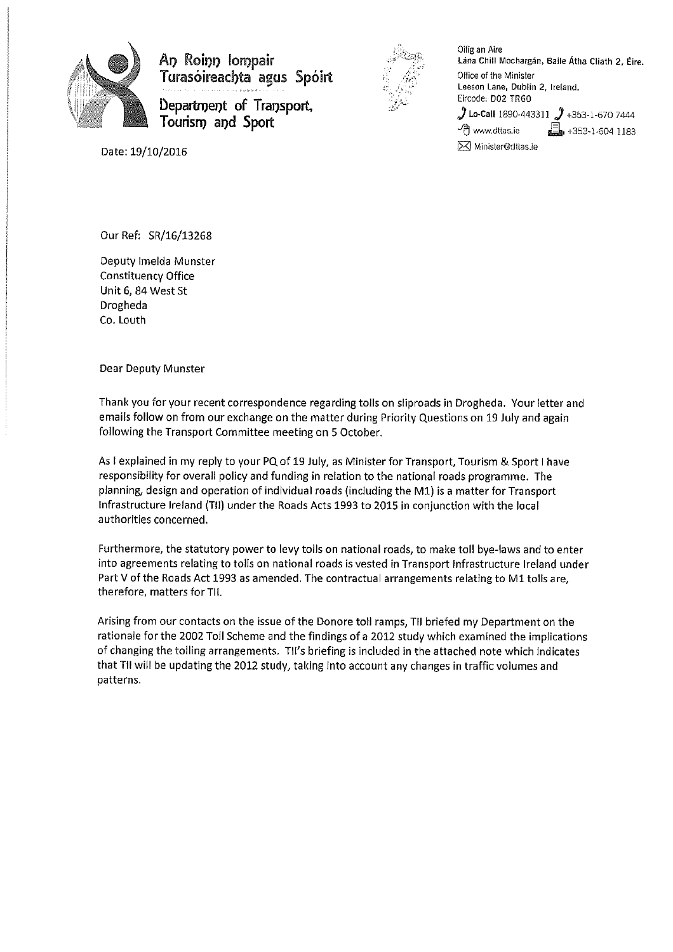

An Roinn lompair Turasoireacbta agus Spoirt *r* o--::·->- �

Department of Transport, Tourism and Sport



Oifig an Aire Lána Chill Mochargán, Baile Átha Cliath 2, Éire. Office of the Minister Leeson Lane, Dublin 2, Ireland. Eircode: D02 TR60 ) Lo-Call 1890-443311  $\,$  +353-1-670 7444  $\sqrt{3}$  www.dttas.ie  $\frac{1}{2}$ , +353-1-604 1183 [8J Minister@,Jtlas.ie

Date: 19/10/2016

Our Ref: SR/16/13268

Deputy Imelda Munster Constituency Office Unit 6, 84 West St Drogheda Co. Louth

Dear Deputy Munster

Thank you for your recent correspondence regarding tolls on sliproads in Drogheda. Your letter and emails follow *on* from our exchange on the matter during Priority Questions on 19 July and again following the Transport Committee meeting on 5 October.

As l explained in my reply to your PQ of 19 July, as Minister for Transport, Tourism & Sport I have responsibility for overall policy and funding in relation to the national roads programme. The planning, design and operation of individual roads {including the Ml) is a matter for Transport Infrastructure Ireland {TII) under the Roads Acts 1993 to 2015 in conjunction with the loca I authorities concerned.

Furthermore, the statutory power to levy tolls on national roads, to make toll bye-laws and to enter into agreements relating to tolls on national roads is vested in Transport Infrastructure Ireland under Part V of the Roads Act 1993 as amended. The contractual arrangements relating to M1 tolls are, therefore, matters for TII.

Arising from our contacts on the issue of the Donore toll ramps, TII briefed my Department on the rationale for the 2002 Toll Scheme and the findings of a 2012 study which examined the implications of changing the tolling arrangements. Tll's briefing is included in the attached note which indicates that TII will be updating the 2012 study, taking into account any changes in traffic volumes and patterns.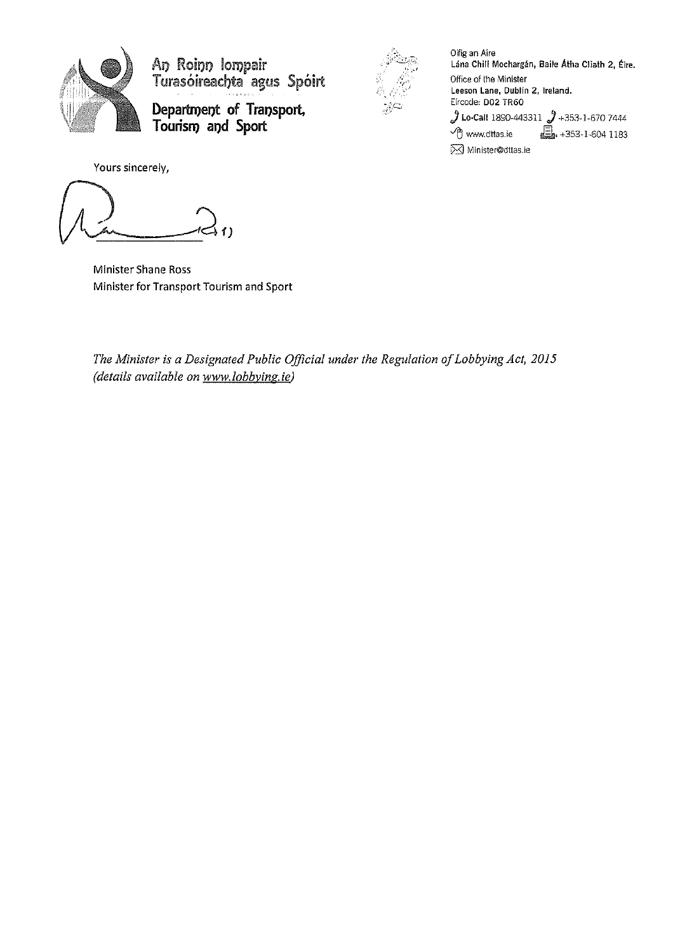

An Roinn Iompair Turasóireachta agus Spóirt

**Departn)el)t of** Transport, **T oorisl'I)** and **Sport** 



Oifig an Aire Lána Chill Mochargán, Baile Átha Cliath 2, Éire. Office of the Minister Leeson Lane, Dublin 2, Ireland. Eircode: D02 TR60  $j$  Lo-Call 1890-443311  $j$  +353-1-670 7444 <sup>-</sup>*e*] www.dttas.ie **b.** +353-1-604 1183 **⊠** Minister@dttas.ie

Yours sincerely,

Minister Shane Ross Minister for Transport Tourism and Sport

*The Minister is a Designated Public Official under the Regulation of Lobbying Act, 2015 (details available on www.lobbvinz.ie)*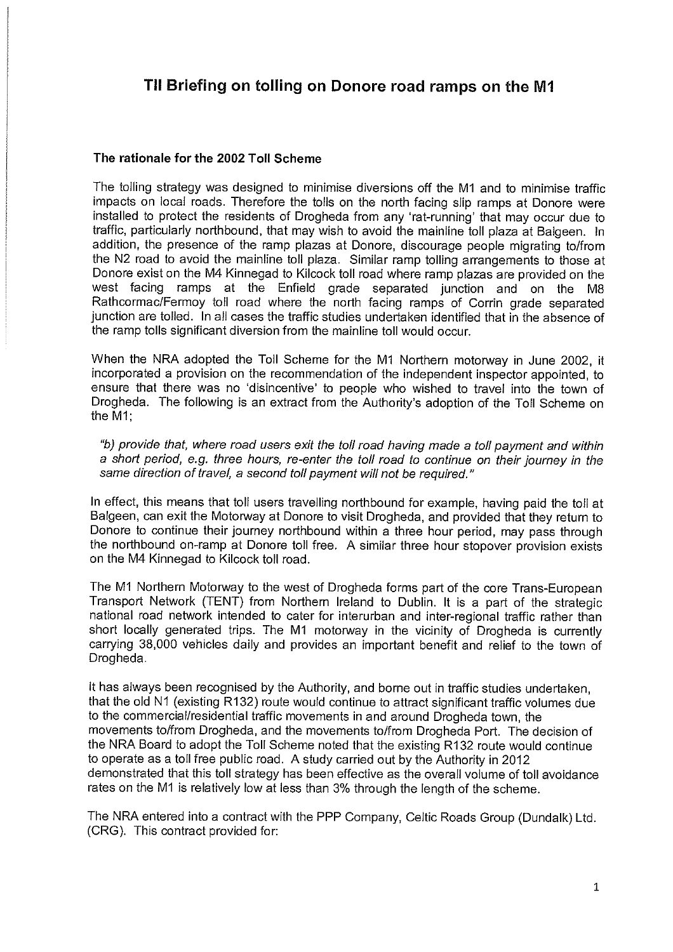# **TII Briefing on tolling on Donore road ramps on the M1**

#### **The rationale for the 2002 Toll Scheme**

The tolling strategy was designed to minimise diversions off the M1 and to minimise traffic impacts on local roads. Therefore the tolls on the north facing slip ramps at Donore were installed to protect the residents of Drogheda from any 'rat-running' that may occur due to traffic, particularly northbound, that may wish to avoid the mainline toll plaza at Balgeen. In addition, the presence of the ramp plazas at Donore, discourage people migrating to/from the N2 road to avoid the mainline toll plaza. Similar ramp tolling arrangements to those at Donore exist on the M4 Kinnegad to Kilcock toll road where ramp plazas are provided on the west facing ramps at the Enfield grade separated junction and on the M8 Rathcormac/Fermoy toll road where the north facing ramps of Corrin grade separated junction are tolled. In all cases the traffic studies undertaken identified that in the absence of the ramp tolls significant diversion from the mainline toll would occur.

When the NRA adopted the Toll Scheme for the M1 Northern motorway in June 2002, it incorporated a provision on the recommendation of the independent inspector appointed, to ensure that there was no 'disincentive' to people who wished to travel into the town of Drogheda. The following is an extract from the Authority's adoption of the Toll Scheme on the M1;

*"b) provide that, where road users exit the toll road having made* a *toll payment and within*  <sup>a</sup>*short period, e.g. three hours, re-enter the toll road to continue on their journey in the*  same *direction of travel,* a *second toll payment will not be required."* 

In effect, this means that toll users travelling northbound for example, having paid the toll at Balgeen, can exit the Motorway at Donore to visit Drogheda, and provided that they return to Donore to continue their journey northbound within a three hour period, may pass through the northbound on-ramp at Donore toll free. A similar three hour stopover provision exists on the M4 Kinnegad to Kilcock toll road.

The M1 Northern Motorway to the west of Drogheda forms part of the core Trans-European Transport Network (TENT) from Northern Ireland to Dublin. It is a part of the strategic national road network intended to cater for interurban and inter-regional traffic rather than short locally generated trips. The M1 motorway in the vicinity of Drogheda is currently carrying 38,000 vehicles daily and provides an important benefit and relief to the town of Drogheda.

It has always been recognised by the Authority, and borne out in traffic studies undertaken, that the old N1 (existing R132) route would continue to attract significant traffic volumes due to the commercial/residential traffic movements in and around Drogheda town, the movements to/from Drogheda, and the movements to/from Drogheda Port. The decision of the NRA Board to adopt the Toll Scheme noted that the existing R132 route would continue to operate as a toll free public road. A study carried out by the Authority in 2012 demonstrated that this toll strategy has been effective as the overall volume of toll avoidance rates on the M1 is relatively low at less than 3% through the length of the scheme.

The NRA entered into a contract with the PPP Company, Celtic Roads Group (Dundalk) Ltd. (CRG). This contract provided for: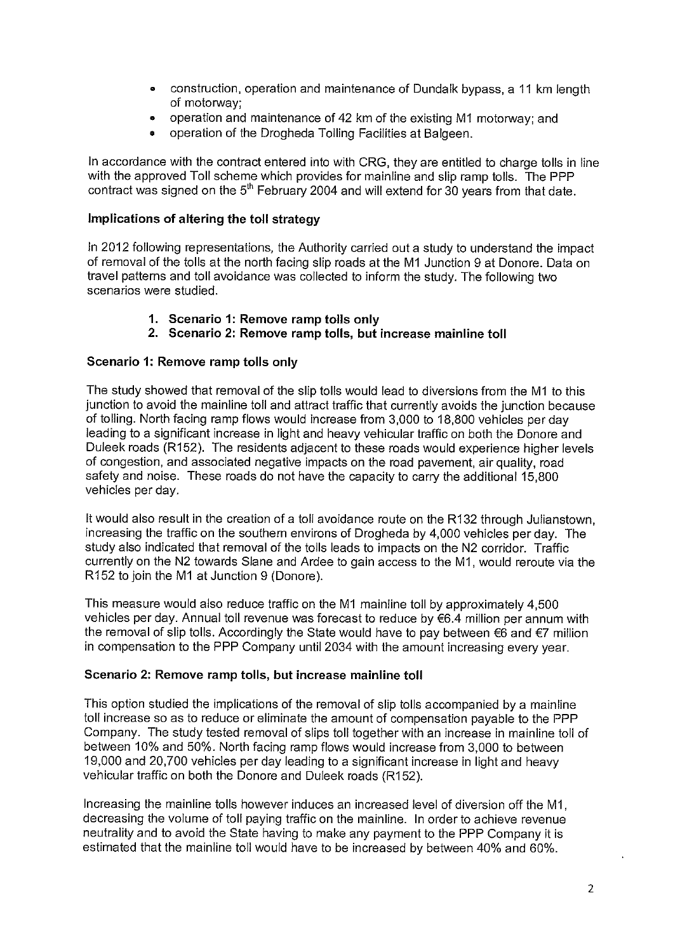- construction, operation and maintenance of Dundalk bypass, a 11 km length of motorway;
- operation and maintenance of 42 km of the existing M1 motorway; and
- operation of the Drogheda Tolling Facilities at Balgeen.

In accordance with the contract entered into with CRG, they are entitled to charge tolls in line with the approved Toll scheme which provides for mainline and slip ramp tolls. The PPP contract was signed on the  $5<sup>th</sup>$  February 2004 and will extend for 30 years from that date.

### Implications of altering the toll strategy

In 2012 following representations, the Authority carried out a study to understand the impact of removal of the tolls at the north facing slip roads at the M1 Junction 9 at Donore. Data on travel patterns and toll avoidance was collected to inform the study. The following two scenarios were studied.

- 1. Scenario 1: Remove ramp tolls only
- 2. Scenario 2: Remove ramp tolls, but increase mainline toll

## Scenario 1: Remove ramp tolls only

The study showed that removal of the slip tolls would lead to diversions from the M1 to this junction to avoid the mainline toll and attract traffic that currently avoids the junction because of tolling. North facing ramp flows would increase from 3,000 to 18,800 vehicles per day leading to a significant increase in light and heavy vehicular traffic on both the Donore and Duleek roads (R152). The residents adjacent to these roads would experience higher levels of congestion, and associated negative impacts on the road pavement, air quality, road safety and noise. These roads do not have the capacity to carry the additional 15,800 vehicles per day.

lt would also result in the creation of a toll avoidance route on the R132 through Julianstown, increasing the traffic on the southern environs of Drogheda by 4,000 vehicles per day. The study also indicated that removal of the tolls leads to impacts on the N2 corridor. Traffic currently on the N2 towards Slane and Ardee to gain access to the M1, would reroute via the R152 to join the M1 at Junction 9 (Donore).

This measure would also reduce traffic on the M1 mainline toll by approximately 4,500 vehicles per day. Annual toll revenue was forecast to reduce by €6.4 million per annum with the removal of slip tolls. Accordingly the State would have to pay between €6 and €7 million in compensation to the PPP Company until 2034 with the amount increasing every year.

### Scenario 2: Remove ramp tolls, but increase mainline toll

This option studied the implications of the removal of slip tolls accompanied by a mainline toll increase so as to reduce or eliminate the amount of compensation payable to the PPP Company. The study tested removal of slips toll together with an increase in mainline toll of between 10% and 50%. North facing ramp flows would increase from 3,000 to between 19,000 and 20,700 vehicles per day leading to a significant increase in light and heavy vehicular traffic on both the Donore and Duleek roads (R152).

Increasing the mainline tolls however induces an increased level of diversion off the M1, decreasing the volume of toll paying traffic on the mainline. In order to achieve revenue neutrality and to avoid the State having to make any payment to the PPP Company it is estimated that the mainline toll would have to be increased by between 40% and 60%.